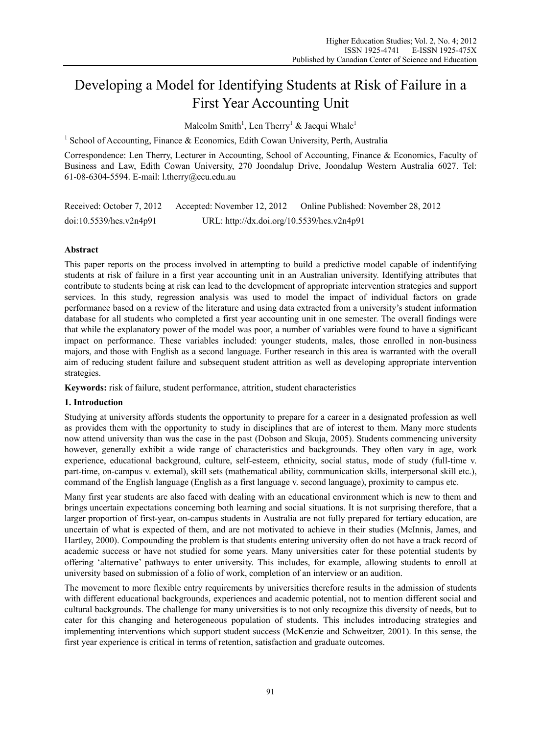# Developing a Model for Identifying Students at Risk of Failure in a First Year Accounting Unit

Malcolm Smith<sup>1</sup>, Len Therry<sup>1</sup> & Jacqui Whale<sup>1</sup>

<sup>1</sup> School of Accounting, Finance & Economics, Edith Cowan University, Perth, Australia

Correspondence: Len Therry, Lecturer in Accounting, School of Accounting, Finance & Economics, Faculty of Business and Law, Edith Cowan University, 270 Joondalup Drive, Joondalup Western Australia 6027. Tel: 61-08-6304-5594. E-mail: l.therry@ecu.edu.au

Received: October 7, 2012 Accepted: November 12, 2012 Online Published: November 28, 2012 doi:10.5539/hes.v2n4p91 URL: http://dx.doi.org/10.5539/hes.v2n4p91

## **Abstract**

This paper reports on the process involved in attempting to build a predictive model capable of indentifying students at risk of failure in a first year accounting unit in an Australian university. Identifying attributes that contribute to students being at risk can lead to the development of appropriate intervention strategies and support services. In this study, regression analysis was used to model the impact of individual factors on grade performance based on a review of the literature and using data extracted from a university's student information database for all students who completed a first year accounting unit in one semester. The overall findings were that while the explanatory power of the model was poor, a number of variables were found to have a significant impact on performance. These variables included: younger students, males, those enrolled in non-business majors, and those with English as a second language. Further research in this area is warranted with the overall aim of reducing student failure and subsequent student attrition as well as developing appropriate intervention strategies.

**Keywords:** risk of failure, student performance, attrition, student characteristics

## **1. Introduction**

Studying at university affords students the opportunity to prepare for a career in a designated profession as well as provides them with the opportunity to study in disciplines that are of interest to them. Many more students now attend university than was the case in the past (Dobson and Skuja, 2005). Students commencing university however, generally exhibit a wide range of characteristics and backgrounds. They often vary in age, work experience, educational background, culture, self-esteem, ethnicity, social status, mode of study (full-time v. part-time, on-campus v. external), skill sets (mathematical ability, communication skills, interpersonal skill etc.), command of the English language (English as a first language v. second language), proximity to campus etc.

Many first year students are also faced with dealing with an educational environment which is new to them and brings uncertain expectations concerning both learning and social situations. It is not surprising therefore, that a larger proportion of first-year, on-campus students in Australia are not fully prepared for tertiary education, are uncertain of what is expected of them, and are not motivated to achieve in their studies (McInnis, James, and Hartley, 2000). Compounding the problem is that students entering university often do not have a track record of academic success or have not studied for some years. Many universities cater for these potential students by offering 'alternative' pathways to enter university. This includes, for example, allowing students to enroll at university based on submission of a folio of work, completion of an interview or an audition.

The movement to more flexible entry requirements by universities therefore results in the admission of students with different educational backgrounds, experiences and academic potential, not to mention different social and cultural backgrounds. The challenge for many universities is to not only recognize this diversity of needs, but to cater for this changing and heterogeneous population of students. This includes introducing strategies and implementing interventions which support student success (McKenzie and Schweitzer, 2001). In this sense, the first year experience is critical in terms of retention, satisfaction and graduate outcomes.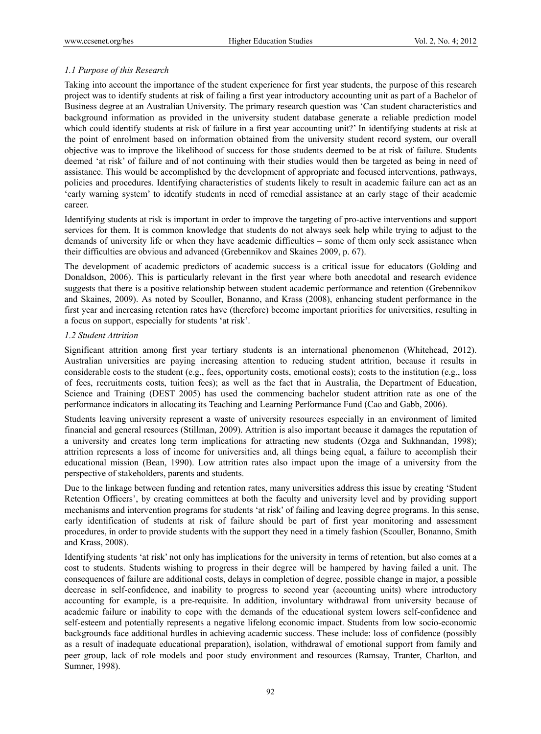#### *1.1 Purpose of this Research*

Taking into account the importance of the student experience for first year students, the purpose of this research project was to identify students at risk of failing a first year introductory accounting unit as part of a Bachelor of Business degree at an Australian University. The primary research question was 'Can student characteristics and background information as provided in the university student database generate a reliable prediction model which could identify students at risk of failure in a first year accounting unit?' In identifying students at risk at the point of enrolment based on information obtained from the university student record system, our overall objective was to improve the likelihood of success for those students deemed to be at risk of failure. Students deemed 'at risk' of failure and of not continuing with their studies would then be targeted as being in need of assistance. This would be accomplished by the development of appropriate and focused interventions, pathways, policies and procedures. Identifying characteristics of students likely to result in academic failure can act as an 'early warning system' to identify students in need of remedial assistance at an early stage of their academic career.

Identifying students at risk is important in order to improve the targeting of pro-active interventions and support services for them. It is common knowledge that students do not always seek help while trying to adjust to the demands of university life or when they have academic difficulties – some of them only seek assistance when their difficulties are obvious and advanced (Grebennikov and Skaines 2009, p. 67).

The development of academic predictors of academic success is a critical issue for educators (Golding and Donaldson, 2006). This is particularly relevant in the first year where both anecdotal and research evidence suggests that there is a positive relationship between student academic performance and retention (Grebennikov and Skaines, 2009). As noted by Scouller, Bonanno, and Krass (2008), enhancing student performance in the first year and increasing retention rates have (therefore) become important priorities for universities, resulting in a focus on support, especially for students 'at risk'.

#### *1.2 Student Attrition*

Significant attrition among first year tertiary students is an international phenomenon (Whitehead, 2012). Australian universities are paying increasing attention to reducing student attrition, because it results in considerable costs to the student (e.g., fees, opportunity costs, emotional costs); costs to the institution (e.g., loss of fees, recruitments costs, tuition fees); as well as the fact that in Australia, the Department of Education, Science and Training (DEST 2005) has used the commencing bachelor student attrition rate as one of the performance indicators in allocating its Teaching and Learning Performance Fund (Cao and Gabb, 2006).

Students leaving university represent a waste of university resources especially in an environment of limited financial and general resources (Stillman, 2009). Attrition is also important because it damages the reputation of a university and creates long term implications for attracting new students (Ozga and Sukhnandan, 1998); attrition represents a loss of income for universities and, all things being equal, a failure to accomplish their educational mission (Bean, 1990). Low attrition rates also impact upon the image of a university from the perspective of stakeholders, parents and students.

Due to the linkage between funding and retention rates, many universities address this issue by creating 'Student Retention Officers', by creating committees at both the faculty and university level and by providing support mechanisms and intervention programs for students 'at risk' of failing and leaving degree programs. In this sense, early identification of students at risk of failure should be part of first year monitoring and assessment procedures, in order to provide students with the support they need in a timely fashion (Scouller, Bonanno, Smith and Krass, 2008).

Identifying students 'at risk' not only has implications for the university in terms of retention, but also comes at a cost to students. Students wishing to progress in their degree will be hampered by having failed a unit. The consequences of failure are additional costs, delays in completion of degree, possible change in major, a possible decrease in self-confidence, and inability to progress to second year (accounting units) where introductory accounting for example, is a pre-requisite. In addition, involuntary withdrawal from university because of academic failure or inability to cope with the demands of the educational system lowers self-confidence and self-esteem and potentially represents a negative lifelong economic impact. Students from low socio-economic backgrounds face additional hurdles in achieving academic success. These include: loss of confidence (possibly as a result of inadequate educational preparation), isolation, withdrawal of emotional support from family and peer group, lack of role models and poor study environment and resources (Ramsay, Tranter, Charlton, and Sumner, 1998).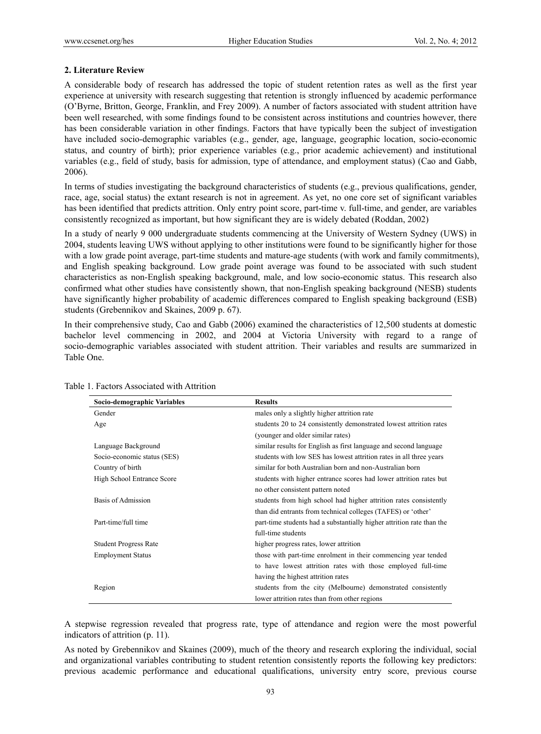### **2. Literature Review**

A considerable body of research has addressed the topic of student retention rates as well as the first year experience at university with research suggesting that retention is strongly influenced by academic performance (O'Byrne, Britton, George, Franklin, and Frey 2009). A number of factors associated with student attrition have been well researched, with some findings found to be consistent across institutions and countries however, there has been considerable variation in other findings. Factors that have typically been the subject of investigation have included socio-demographic variables (e.g., gender, age, language, geographic location, socio-economic status, and country of birth); prior experience variables (e.g., prior academic achievement) and institutional variables (e.g., field of study, basis for admission, type of attendance, and employment status) (Cao and Gabb, 2006).

In terms of studies investigating the background characteristics of students (e.g., previous qualifications, gender, race, age, social status) the extant research is not in agreement. As yet, no one core set of significant variables has been identified that predicts attrition. Only entry point score, part-time v. full-time, and gender, are variables consistently recognized as important, but how significant they are is widely debated (Roddan, 2002)

In a study of nearly 9 000 undergraduate students commencing at the University of Western Sydney (UWS) in 2004, students leaving UWS without applying to other institutions were found to be significantly higher for those with a low grade point average, part-time students and mature-age students (with work and family commitments), and English speaking background. Low grade point average was found to be associated with such student characteristics as non-English speaking background, male, and low socio-economic status. This research also confirmed what other studies have consistently shown, that non-English speaking background (NESB) students have significantly higher probability of academic differences compared to English speaking background (ESB) students (Grebennikov and Skaines, 2009 p. 67).

In their comprehensive study, Cao and Gabb (2006) examined the characteristics of 12,500 students at domestic bachelor level commencing in 2002, and 2004 at Victoria University with regard to a range of socio-demographic variables associated with student attrition. Their variables and results are summarized in Table One.

| Socio-demographic Variables  | <b>Results</b>                                                        |
|------------------------------|-----------------------------------------------------------------------|
| Gender                       | males only a slightly higher attrition rate                           |
| Age                          | students 20 to 24 consistently demonstrated lowest attrition rates    |
|                              | (younger and older similar rates)                                     |
| Language Background          | similar results for English as first language and second language     |
| Socio-economic status (SES)  | students with low SES has lowest attrition rates in all three years   |
| Country of birth             | similar for both Australian born and non-Australian born              |
| High School Entrance Score   | students with higher entrance scores had lower attrition rates but    |
|                              | no other consistent pattern noted                                     |
| Basis of Admission           | students from high school had higher attrition rates consistently     |
|                              | than did entrants from technical colleges (TAFES) or 'other'          |
| Part-time/full time          | part-time students had a substantially higher attrition rate than the |
|                              | full-time students                                                    |
| <b>Student Progress Rate</b> | higher progress rates, lower attrition                                |
| <b>Employment Status</b>     | those with part-time enrolment in their commencing year tended        |
|                              | to have lowest attrition rates with those employed full-time          |
|                              | having the highest attrition rates                                    |
| Region                       | students from the city (Melbourne) demonstrated consistently          |
|                              | lower attrition rates than from other regions                         |

Table 1. Factors Associated with Attrition

A stepwise regression revealed that progress rate, type of attendance and region were the most powerful indicators of attrition (p. 11).

As noted by Grebennikov and Skaines (2009), much of the theory and research exploring the individual, social and organizational variables contributing to student retention consistently reports the following key predictors: previous academic performance and educational qualifications, university entry score, previous course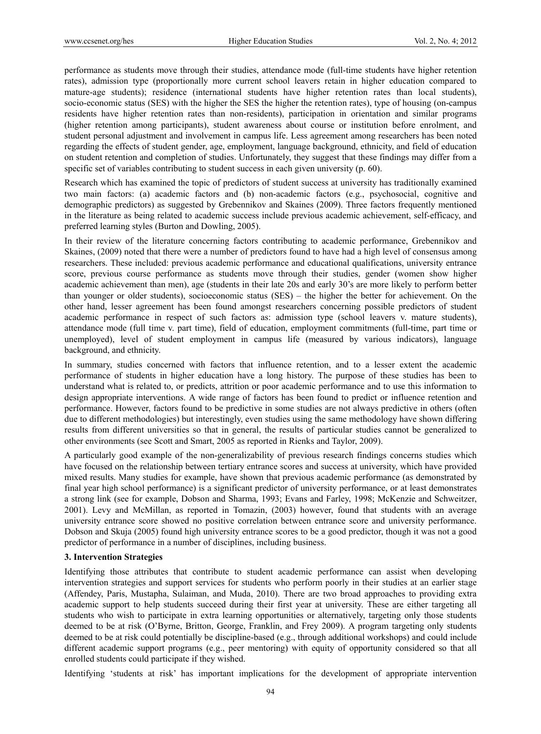performance as students move through their studies, attendance mode (full-time students have higher retention rates), admission type (proportionally more current school leavers retain in higher education compared to mature-age students); residence (international students have higher retention rates than local students), socio-economic status (SES) with the higher the SES the higher the retention rates), type of housing (on-campus residents have higher retention rates than non-residents), participation in orientation and similar programs (higher retention among participants), student awareness about course or institution before enrolment, and student personal adjustment and involvement in campus life. Less agreement among researchers has been noted regarding the effects of student gender, age, employment, language background, ethnicity, and field of education on student retention and completion of studies. Unfortunately, they suggest that these findings may differ from a specific set of variables contributing to student success in each given university (p. 60).

Research which has examined the topic of predictors of student success at university has traditionally examined two main factors: (a) academic factors and (b) non-academic factors (e.g., psychosocial, cognitive and demographic predictors) as suggested by Grebennikov and Skaines (2009). Three factors frequently mentioned in the literature as being related to academic success include previous academic achievement, self-efficacy, and preferred learning styles (Burton and Dowling, 2005).

In their review of the literature concerning factors contributing to academic performance, Grebennikov and Skaines, (2009) noted that there were a number of predictors found to have had a high level of consensus among researchers. These included: previous academic performance and educational qualifications, university entrance score, previous course performance as students move through their studies, gender (women show higher academic achievement than men), age (students in their late 20s and early 30's are more likely to perform better than younger or older students), socioeconomic status (SES) – the higher the better for achievement. On the other hand, lesser agreement has been found amongst researchers concerning possible predictors of student academic performance in respect of such factors as: admission type (school leavers v. mature students), attendance mode (full time v. part time), field of education, employment commitments (full-time, part time or unemployed), level of student employment in campus life (measured by various indicators), language background, and ethnicity.

In summary, studies concerned with factors that influence retention, and to a lesser extent the academic performance of students in higher education have a long history. The purpose of these studies has been to understand what is related to, or predicts, attrition or poor academic performance and to use this information to design appropriate interventions. A wide range of factors has been found to predict or influence retention and performance. However, factors found to be predictive in some studies are not always predictive in others (often due to different methodologies) but interestingly, even studies using the same methodology have shown differing results from different universities so that in general, the results of particular studies cannot be generalized to other environments (see Scott and Smart, 2005 as reported in Rienks and Taylor, 2009).

A particularly good example of the non-generalizability of previous research findings concerns studies which have focused on the relationship between tertiary entrance scores and success at university, which have provided mixed results. Many studies for example, have shown that previous academic performance (as demonstrated by final year high school performance) is a significant predictor of university performance, or at least demonstrates a strong link (see for example, Dobson and Sharma, 1993; Evans and Farley, 1998; McKenzie and Schweitzer, 2001). Levy and McMillan, as reported in Tomazin, (2003) however, found that students with an average university entrance score showed no positive correlation between entrance score and university performance. Dobson and Skuja (2005) found high university entrance scores to be a good predictor, though it was not a good predictor of performance in a number of disciplines, including business.

#### **3. Intervention Strategies**

Identifying those attributes that contribute to student academic performance can assist when developing intervention strategies and support services for students who perform poorly in their studies at an earlier stage (Affendey, Paris, Mustapha, Sulaiman, and Muda, 2010). There are two broad approaches to providing extra academic support to help students succeed during their first year at university. These are either targeting all students who wish to participate in extra learning opportunities or alternatively, targeting only those students deemed to be at risk (O'Byrne, Britton, George, Franklin, and Frey 2009). A program targeting only students deemed to be at risk could potentially be discipline-based (e.g., through additional workshops) and could include different academic support programs (e.g., peer mentoring) with equity of opportunity considered so that all enrolled students could participate if they wished.

Identifying 'students at risk' has important implications for the development of appropriate intervention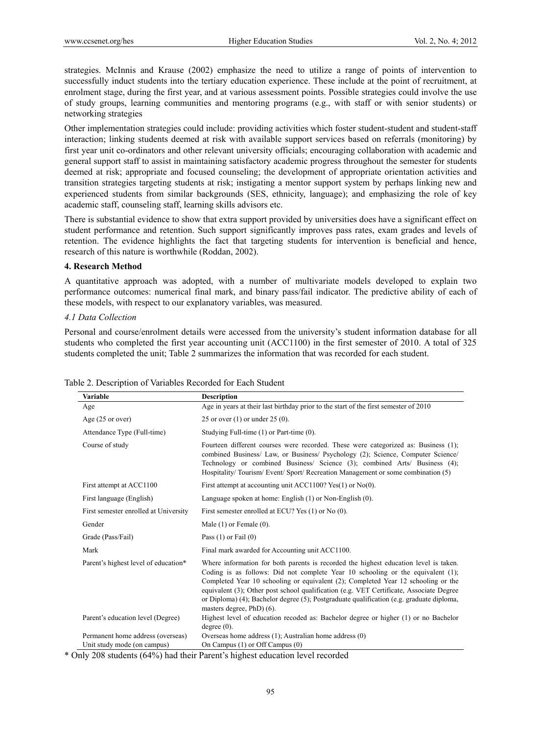strategies. McInnis and Krause (2002) emphasize the need to utilize a range of points of intervention to successfully induct students into the tertiary education experience. These include at the point of recruitment, at enrolment stage, during the first year, and at various assessment points. Possible strategies could involve the use of study groups, learning communities and mentoring programs (e.g., with staff or with senior students) or networking strategies

Other implementation strategies could include: providing activities which foster student-student and student-staff interaction; linking students deemed at risk with available support services based on referrals (monitoring) by first year unit co-ordinators and other relevant university officials; encouraging collaboration with academic and general support staff to assist in maintaining satisfactory academic progress throughout the semester for students deemed at risk; appropriate and focused counseling; the development of appropriate orientation activities and transition strategies targeting students at risk; instigating a mentor support system by perhaps linking new and experienced students from similar backgrounds (SES, ethnicity, language); and emphasizing the role of key academic staff, counseling staff, learning skills advisors etc.

There is substantial evidence to show that extra support provided by universities does have a significant effect on student performance and retention. Such support significantly improves pass rates, exam grades and levels of retention. The evidence highlights the fact that targeting students for intervention is beneficial and hence, research of this nature is worthwhile (Roddan, 2002).

#### **4. Research Method**

A quantitative approach was adopted, with a number of multivariate models developed to explain two performance outcomes: numerical final mark, and binary pass/fail indicator. The predictive ability of each of these models, with respect to our explanatory variables, was measured.

#### *4.1 Data Collection*

Personal and course/enrolment details were accessed from the university's student information database for all students who completed the first year accounting unit (ACC1100) in the first semester of 2010. A total of 325 students completed the unit; Table 2 summarizes the information that was recorded for each student.

| Variable                                                                               | <b>Description</b>                                                                                                                                                                                                                                                                                                                                                                                                                                                                  |
|----------------------------------------------------------------------------------------|-------------------------------------------------------------------------------------------------------------------------------------------------------------------------------------------------------------------------------------------------------------------------------------------------------------------------------------------------------------------------------------------------------------------------------------------------------------------------------------|
| Age                                                                                    | Age in years at their last birthday prior to the start of the first semester of 2010                                                                                                                                                                                                                                                                                                                                                                                                |
| Age $(25 \text{ or over})$                                                             | 25 or over (1) or under 25 (0).                                                                                                                                                                                                                                                                                                                                                                                                                                                     |
| Attendance Type (Full-time)                                                            | Studying Full-time $(1)$ or Part-time $(0)$ .                                                                                                                                                                                                                                                                                                                                                                                                                                       |
| Course of study                                                                        | Fourteen different courses were recorded. These were categorized as: Business (1);<br>combined Business/ Law, or Business/ Psychology (2); Science, Computer Science/<br>Technology or combined Business/ Science (3); combined Arts/ Business (4);<br>Hospitality/Tourism/Event/Sport/Recreation Management or some combination (5)                                                                                                                                                |
| First attempt at ACC1100                                                               | First attempt at accounting unit ACC1100? Yes $(1)$ or $No(0)$ .                                                                                                                                                                                                                                                                                                                                                                                                                    |
| First language (English)                                                               | Language spoken at home: English (1) or Non-English (0).                                                                                                                                                                                                                                                                                                                                                                                                                            |
| First semester enrolled at University                                                  | First semester enrolled at ECU? Yes (1) or No (0).                                                                                                                                                                                                                                                                                                                                                                                                                                  |
| Gender                                                                                 | Male $(1)$ or Female $(0)$ .                                                                                                                                                                                                                                                                                                                                                                                                                                                        |
| Grade (Pass/Fail)                                                                      | Pass $(1)$ or Fail $(0)$                                                                                                                                                                                                                                                                                                                                                                                                                                                            |
| Mark                                                                                   | Final mark awarded for Accounting unit ACC1100.                                                                                                                                                                                                                                                                                                                                                                                                                                     |
| Parent's highest level of education*                                                   | Where information for both parents is recorded the highest education level is taken.<br>Coding is as follows: Did not complete Year 10 schooling or the equivalent $(1)$ ;<br>Completed Year 10 schooling or equivalent (2); Completed Year 12 schooling or the<br>equivalent (3); Other post school qualification (e.g. VET Certificate, Associate Degree<br>or Diploma) (4); Bachelor degree (5); Postgraduate qualification (e.g. graduate diploma,<br>masters degree, PhD) (6). |
| Parent's education level (Degree)                                                      | Highest level of education recoded as: Bachelor degree or higher (1) or no Bachelor<br>$degree(0)$ .                                                                                                                                                                                                                                                                                                                                                                                |
| Permanent home address (overseas)                                                      | Overseas home address (1); Australian home address (0)                                                                                                                                                                                                                                                                                                                                                                                                                              |
| Unit study mode (on campus)<br>$\sim$ $\sim$ $\sim$ $\sim$ $\sim$ $\sim$ $\sim$ $\sim$ | On Campus (1) or Off Campus (0)<br>the contract of the contract of the contract of the contract of the contract of the contract of the contract of                                                                                                                                                                                                                                                                                                                                  |

#### Table 2. Description of Variables Recorded for Each Student

\* Only 208 students (64%) had their Parent's highest education level recorded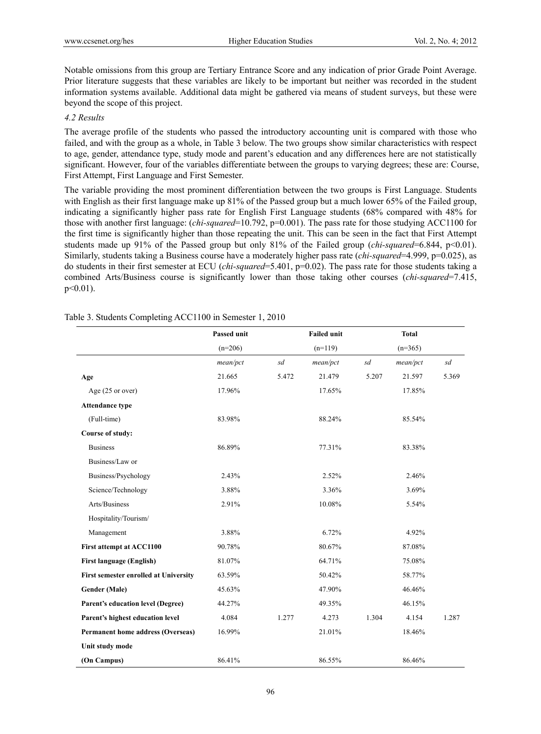Notable omissions from this group are Tertiary Entrance Score and any indication of prior Grade Point Average. Prior literature suggests that these variables are likely to be important but neither was recorded in the student information systems available. Additional data might be gathered via means of student surveys, but these were beyond the scope of this project.

#### *4.2 Results*

The average profile of the students who passed the introductory accounting unit is compared with those who failed, and with the group as a whole, in Table 3 below. The two groups show similar characteristics with respect to age, gender, attendance type, study mode and parent's education and any differences here are not statistically significant. However, four of the variables differentiate between the groups to varying degrees; these are: Course, First Attempt, First Language and First Semester.

The variable providing the most prominent differentiation between the two groups is First Language. Students with English as their first language make up 81% of the Passed group but a much lower 65% of the Failed group, indicating a significantly higher pass rate for English First Language students (68% compared with 48% for those with another first language: (*chi-squared*=10.792, p=0.001). The pass rate for those studying ACC1100 for the first time is significantly higher than those repeating the unit. This can be seen in the fact that First Attempt students made up 91% of the Passed group but only 81% of the Failed group (*chi-squared*=6.844, p<0.01). Similarly, students taking a Business course have a moderately higher pass rate (*chi-squared*=4.999, p=0.025), as do students in their first semester at ECU (*chi-squared*=5.401, p=0.02). The pass rate for those students taking a combined Arts/Business course is significantly lower than those taking other courses (*chi-squared*=7.415,  $p \leq 0.01$ ).

|                                       | <b>Passed unit</b> |       | <b>Failed unit</b> |       | <b>Total</b> |       |
|---------------------------------------|--------------------|-------|--------------------|-------|--------------|-------|
|                                       | $(n=206)$          |       | $(n=119)$          |       | $(n=365)$    |       |
|                                       | mean/pct           | sd    | mean/pct           | sd    | mean/pct     | sd    |
| Age                                   | 21.665             | 5.472 | 21.479             | 5.207 | 21.597       | 5.369 |
| Age $(25 \text{ or over})$            | 17.96%             |       | 17.65%             |       | 17.85%       |       |
| <b>Attendance type</b>                |                    |       |                    |       |              |       |
| (Full-time)                           | 83.98%             |       | 88.24%             |       | 85.54%       |       |
| <b>Course of study:</b>               |                    |       |                    |       |              |       |
| <b>Business</b>                       | 86.89%             |       | 77.31%             |       | 83.38%       |       |
| Business/Law or                       |                    |       |                    |       |              |       |
| Business/Psychology                   | 2.43%              |       | 2.52%              |       | 2.46%        |       |
| Science/Technology                    | 3.88%              |       | 3.36%              |       | 3.69%        |       |
| Arts/Business                         | 2.91%              |       | 10.08%             |       | 5.54%        |       |
| Hospitality/Tourism/                  |                    |       |                    |       |              |       |
| Management                            | 3.88%              |       | 6.72%              |       | 4.92%        |       |
| First attempt at ACC1100              | 90.78%             |       | 80.67%             |       | 87.08%       |       |
| <b>First language (English)</b>       | 81.07%             |       | 64.71%             |       | 75.08%       |       |
| First semester enrolled at University | 63.59%             |       | 50.42%             |       | 58.77%       |       |
| <b>Gender (Male)</b>                  | 45.63%             |       | 47.90%             |       | 46.46%       |       |
| Parent's education level (Degree)     | 44.27%             |       | 49.35%             |       | 46.15%       |       |
| Parent's highest education level      | 4.084              | 1.277 | 4.273              | 1.304 | 4.154        | 1.287 |
| Permanent home address (Overseas)     | 16.99%             |       | 21.01%             |       | 18.46%       |       |
| Unit study mode                       |                    |       |                    |       |              |       |
| (On Campus)                           | 86.41%             |       | 86.55%             |       | 86.46%       |       |

Table 3. Students Completing ACC1100 in Semester 1, 2010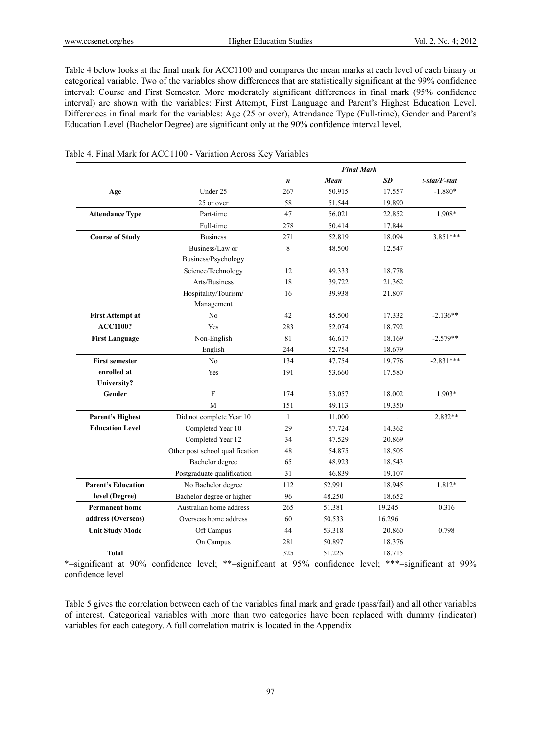Table 4 below looks at the final mark for ACC1100 and compares the mean marks at each level of each binary or categorical variable. Two of the variables show differences that are statistically significant at the 99% confidence interval: Course and First Semester. More moderately significant differences in final mark (95% confidence interval) are shown with the variables: First Attempt, First Language and Parent's Highest Education Level. Differences in final mark for the variables: Age (25 or over), Attendance Type (Full-time), Gender and Parent's Education Level (Bachelor Degree) are significant only at the 90% confidence interval level.

| <b>SD</b><br>Mean<br>$t$ -stat/ $F$ -stat<br>$\boldsymbol{n}$<br>Under 25<br>267<br>50.915<br>17.557<br>$-1.880*$<br>Age<br>25 or over<br>58<br>19.890<br>51.544<br>47<br>1.908*<br><b>Attendance Type</b><br>Part-time<br>56.021<br>22.852<br>Full-time<br>278<br>50.414<br>17.844<br>3.851***<br><b>Business</b><br>271<br>18.094<br><b>Course of Study</b><br>52.819<br>Business/Law or<br>8<br>48.500<br>12.547<br>Business/Psychology<br>Science/Technology<br>49.333<br>18.778<br>12<br>Arts/Business<br>18<br>39.722<br>21.362<br>Hospitality/Tourism/<br>16<br>39.938<br>21.807<br>Management<br>42<br>N <sub>o</sub><br>45.500<br>17.332<br>$-2.136**$<br><b>First Attempt at</b><br><b>ACC1100?</b><br>283<br>52.074<br>18.792<br>Yes<br>Non-English<br>81<br>$-2.579**$<br>46.617<br>18.169<br><b>First Language</b><br>English<br>244<br>52.754<br>18.679<br>No<br>$-2.831***$<br><b>First semester</b><br>134<br>47.754<br>19.776<br>enrolled at<br>Yes<br>191<br>53.660<br>17.580<br>University?<br>$\overline{F}$<br>18.002<br>Gender<br>174<br>53.057<br>$1.903*$<br>M<br>151<br>49.113<br>19.350<br><b>Parent's Highest</b><br>Did not complete Year 10<br>1<br>11.000<br>2.832**<br><b>Education Level</b><br>Completed Year 10<br>29<br>14.362<br>57.724<br>Completed Year 12<br>34<br>47.529<br>20.869<br>Other post school qualification<br>48<br>54.875<br>18.505<br>Bachelor degree<br>48.923<br>18.543<br>65<br>Postgraduate qualification<br>46.839<br>31<br>19.107<br><b>Parent's Education</b><br>112<br>52.991<br>18.945<br>1.812*<br>No Bachelor degree<br>level (Degree)<br>Bachelor degree or higher<br>96<br>48.250<br>18.652<br>Australian home address<br>19.245<br><b>Permanent home</b><br>265<br>51.381<br>0.316<br>address (Overseas)<br>Overseas home address<br>60<br>50.533<br>16.296<br>44<br><b>Unit Study Mode</b><br>Off Campus<br>53.318<br>20.860<br>0.798<br>On Campus<br>281<br>50.897<br>18.376<br><b>Total</b><br>325<br>51.225<br>18.715 |  | <b>Final Mark</b> |  |
|----------------------------------------------------------------------------------------------------------------------------------------------------------------------------------------------------------------------------------------------------------------------------------------------------------------------------------------------------------------------------------------------------------------------------------------------------------------------------------------------------------------------------------------------------------------------------------------------------------------------------------------------------------------------------------------------------------------------------------------------------------------------------------------------------------------------------------------------------------------------------------------------------------------------------------------------------------------------------------------------------------------------------------------------------------------------------------------------------------------------------------------------------------------------------------------------------------------------------------------------------------------------------------------------------------------------------------------------------------------------------------------------------------------------------------------------------------------------------------------------------------------------------------------------------------------------------------------------------------------------------------------------------------------------------------------------------------------------------------------------------------------------------------------------------------------------------------------------------------------------------------------------------------------------------------------------------------------------------------------------|--|-------------------|--|
|                                                                                                                                                                                                                                                                                                                                                                                                                                                                                                                                                                                                                                                                                                                                                                                                                                                                                                                                                                                                                                                                                                                                                                                                                                                                                                                                                                                                                                                                                                                                                                                                                                                                                                                                                                                                                                                                                                                                                                                              |  |                   |  |
|                                                                                                                                                                                                                                                                                                                                                                                                                                                                                                                                                                                                                                                                                                                                                                                                                                                                                                                                                                                                                                                                                                                                                                                                                                                                                                                                                                                                                                                                                                                                                                                                                                                                                                                                                                                                                                                                                                                                                                                              |  |                   |  |
|                                                                                                                                                                                                                                                                                                                                                                                                                                                                                                                                                                                                                                                                                                                                                                                                                                                                                                                                                                                                                                                                                                                                                                                                                                                                                                                                                                                                                                                                                                                                                                                                                                                                                                                                                                                                                                                                                                                                                                                              |  |                   |  |
|                                                                                                                                                                                                                                                                                                                                                                                                                                                                                                                                                                                                                                                                                                                                                                                                                                                                                                                                                                                                                                                                                                                                                                                                                                                                                                                                                                                                                                                                                                                                                                                                                                                                                                                                                                                                                                                                                                                                                                                              |  |                   |  |
|                                                                                                                                                                                                                                                                                                                                                                                                                                                                                                                                                                                                                                                                                                                                                                                                                                                                                                                                                                                                                                                                                                                                                                                                                                                                                                                                                                                                                                                                                                                                                                                                                                                                                                                                                                                                                                                                                                                                                                                              |  |                   |  |
|                                                                                                                                                                                                                                                                                                                                                                                                                                                                                                                                                                                                                                                                                                                                                                                                                                                                                                                                                                                                                                                                                                                                                                                                                                                                                                                                                                                                                                                                                                                                                                                                                                                                                                                                                                                                                                                                                                                                                                                              |  |                   |  |
|                                                                                                                                                                                                                                                                                                                                                                                                                                                                                                                                                                                                                                                                                                                                                                                                                                                                                                                                                                                                                                                                                                                                                                                                                                                                                                                                                                                                                                                                                                                                                                                                                                                                                                                                                                                                                                                                                                                                                                                              |  |                   |  |
|                                                                                                                                                                                                                                                                                                                                                                                                                                                                                                                                                                                                                                                                                                                                                                                                                                                                                                                                                                                                                                                                                                                                                                                                                                                                                                                                                                                                                                                                                                                                                                                                                                                                                                                                                                                                                                                                                                                                                                                              |  |                   |  |
|                                                                                                                                                                                                                                                                                                                                                                                                                                                                                                                                                                                                                                                                                                                                                                                                                                                                                                                                                                                                                                                                                                                                                                                                                                                                                                                                                                                                                                                                                                                                                                                                                                                                                                                                                                                                                                                                                                                                                                                              |  |                   |  |
|                                                                                                                                                                                                                                                                                                                                                                                                                                                                                                                                                                                                                                                                                                                                                                                                                                                                                                                                                                                                                                                                                                                                                                                                                                                                                                                                                                                                                                                                                                                                                                                                                                                                                                                                                                                                                                                                                                                                                                                              |  |                   |  |
|                                                                                                                                                                                                                                                                                                                                                                                                                                                                                                                                                                                                                                                                                                                                                                                                                                                                                                                                                                                                                                                                                                                                                                                                                                                                                                                                                                                                                                                                                                                                                                                                                                                                                                                                                                                                                                                                                                                                                                                              |  |                   |  |
|                                                                                                                                                                                                                                                                                                                                                                                                                                                                                                                                                                                                                                                                                                                                                                                                                                                                                                                                                                                                                                                                                                                                                                                                                                                                                                                                                                                                                                                                                                                                                                                                                                                                                                                                                                                                                                                                                                                                                                                              |  |                   |  |
|                                                                                                                                                                                                                                                                                                                                                                                                                                                                                                                                                                                                                                                                                                                                                                                                                                                                                                                                                                                                                                                                                                                                                                                                                                                                                                                                                                                                                                                                                                                                                                                                                                                                                                                                                                                                                                                                                                                                                                                              |  |                   |  |
|                                                                                                                                                                                                                                                                                                                                                                                                                                                                                                                                                                                                                                                                                                                                                                                                                                                                                                                                                                                                                                                                                                                                                                                                                                                                                                                                                                                                                                                                                                                                                                                                                                                                                                                                                                                                                                                                                                                                                                                              |  |                   |  |
|                                                                                                                                                                                                                                                                                                                                                                                                                                                                                                                                                                                                                                                                                                                                                                                                                                                                                                                                                                                                                                                                                                                                                                                                                                                                                                                                                                                                                                                                                                                                                                                                                                                                                                                                                                                                                                                                                                                                                                                              |  |                   |  |
|                                                                                                                                                                                                                                                                                                                                                                                                                                                                                                                                                                                                                                                                                                                                                                                                                                                                                                                                                                                                                                                                                                                                                                                                                                                                                                                                                                                                                                                                                                                                                                                                                                                                                                                                                                                                                                                                                                                                                                                              |  |                   |  |
|                                                                                                                                                                                                                                                                                                                                                                                                                                                                                                                                                                                                                                                                                                                                                                                                                                                                                                                                                                                                                                                                                                                                                                                                                                                                                                                                                                                                                                                                                                                                                                                                                                                                                                                                                                                                                                                                                                                                                                                              |  |                   |  |
|                                                                                                                                                                                                                                                                                                                                                                                                                                                                                                                                                                                                                                                                                                                                                                                                                                                                                                                                                                                                                                                                                                                                                                                                                                                                                                                                                                                                                                                                                                                                                                                                                                                                                                                                                                                                                                                                                                                                                                                              |  |                   |  |
|                                                                                                                                                                                                                                                                                                                                                                                                                                                                                                                                                                                                                                                                                                                                                                                                                                                                                                                                                                                                                                                                                                                                                                                                                                                                                                                                                                                                                                                                                                                                                                                                                                                                                                                                                                                                                                                                                                                                                                                              |  |                   |  |
|                                                                                                                                                                                                                                                                                                                                                                                                                                                                                                                                                                                                                                                                                                                                                                                                                                                                                                                                                                                                                                                                                                                                                                                                                                                                                                                                                                                                                                                                                                                                                                                                                                                                                                                                                                                                                                                                                                                                                                                              |  |                   |  |
|                                                                                                                                                                                                                                                                                                                                                                                                                                                                                                                                                                                                                                                                                                                                                                                                                                                                                                                                                                                                                                                                                                                                                                                                                                                                                                                                                                                                                                                                                                                                                                                                                                                                                                                                                                                                                                                                                                                                                                                              |  |                   |  |
|                                                                                                                                                                                                                                                                                                                                                                                                                                                                                                                                                                                                                                                                                                                                                                                                                                                                                                                                                                                                                                                                                                                                                                                                                                                                                                                                                                                                                                                                                                                                                                                                                                                                                                                                                                                                                                                                                                                                                                                              |  |                   |  |
|                                                                                                                                                                                                                                                                                                                                                                                                                                                                                                                                                                                                                                                                                                                                                                                                                                                                                                                                                                                                                                                                                                                                                                                                                                                                                                                                                                                                                                                                                                                                                                                                                                                                                                                                                                                                                                                                                                                                                                                              |  |                   |  |
|                                                                                                                                                                                                                                                                                                                                                                                                                                                                                                                                                                                                                                                                                                                                                                                                                                                                                                                                                                                                                                                                                                                                                                                                                                                                                                                                                                                                                                                                                                                                                                                                                                                                                                                                                                                                                                                                                                                                                                                              |  |                   |  |
|                                                                                                                                                                                                                                                                                                                                                                                                                                                                                                                                                                                                                                                                                                                                                                                                                                                                                                                                                                                                                                                                                                                                                                                                                                                                                                                                                                                                                                                                                                                                                                                                                                                                                                                                                                                                                                                                                                                                                                                              |  |                   |  |
|                                                                                                                                                                                                                                                                                                                                                                                                                                                                                                                                                                                                                                                                                                                                                                                                                                                                                                                                                                                                                                                                                                                                                                                                                                                                                                                                                                                                                                                                                                                                                                                                                                                                                                                                                                                                                                                                                                                                                                                              |  |                   |  |
|                                                                                                                                                                                                                                                                                                                                                                                                                                                                                                                                                                                                                                                                                                                                                                                                                                                                                                                                                                                                                                                                                                                                                                                                                                                                                                                                                                                                                                                                                                                                                                                                                                                                                                                                                                                                                                                                                                                                                                                              |  |                   |  |
|                                                                                                                                                                                                                                                                                                                                                                                                                                                                                                                                                                                                                                                                                                                                                                                                                                                                                                                                                                                                                                                                                                                                                                                                                                                                                                                                                                                                                                                                                                                                                                                                                                                                                                                                                                                                                                                                                                                                                                                              |  |                   |  |
|                                                                                                                                                                                                                                                                                                                                                                                                                                                                                                                                                                                                                                                                                                                                                                                                                                                                                                                                                                                                                                                                                                                                                                                                                                                                                                                                                                                                                                                                                                                                                                                                                                                                                                                                                                                                                                                                                                                                                                                              |  |                   |  |
|                                                                                                                                                                                                                                                                                                                                                                                                                                                                                                                                                                                                                                                                                                                                                                                                                                                                                                                                                                                                                                                                                                                                                                                                                                                                                                                                                                                                                                                                                                                                                                                                                                                                                                                                                                                                                                                                                                                                                                                              |  |                   |  |
|                                                                                                                                                                                                                                                                                                                                                                                                                                                                                                                                                                                                                                                                                                                                                                                                                                                                                                                                                                                                                                                                                                                                                                                                                                                                                                                                                                                                                                                                                                                                                                                                                                                                                                                                                                                                                                                                                                                                                                                              |  |                   |  |
|                                                                                                                                                                                                                                                                                                                                                                                                                                                                                                                                                                                                                                                                                                                                                                                                                                                                                                                                                                                                                                                                                                                                                                                                                                                                                                                                                                                                                                                                                                                                                                                                                                                                                                                                                                                                                                                                                                                                                                                              |  |                   |  |
|                                                                                                                                                                                                                                                                                                                                                                                                                                                                                                                                                                                                                                                                                                                                                                                                                                                                                                                                                                                                                                                                                                                                                                                                                                                                                                                                                                                                                                                                                                                                                                                                                                                                                                                                                                                                                                                                                                                                                                                              |  |                   |  |
|                                                                                                                                                                                                                                                                                                                                                                                                                                                                                                                                                                                                                                                                                                                                                                                                                                                                                                                                                                                                                                                                                                                                                                                                                                                                                                                                                                                                                                                                                                                                                                                                                                                                                                                                                                                                                                                                                                                                                                                              |  |                   |  |

Table 4. Final Mark for ACC1100 - Variation Across Key Variables

\*=significant at 90% confidence level; \*\*=significant at 95% confidence level; \*\*\*=significant at 99% confidence level

Table 5 gives the correlation between each of the variables final mark and grade (pass/fail) and all other variables of interest. Categorical variables with more than two categories have been replaced with dummy (indicator) variables for each category. A full correlation matrix is located in the Appendix.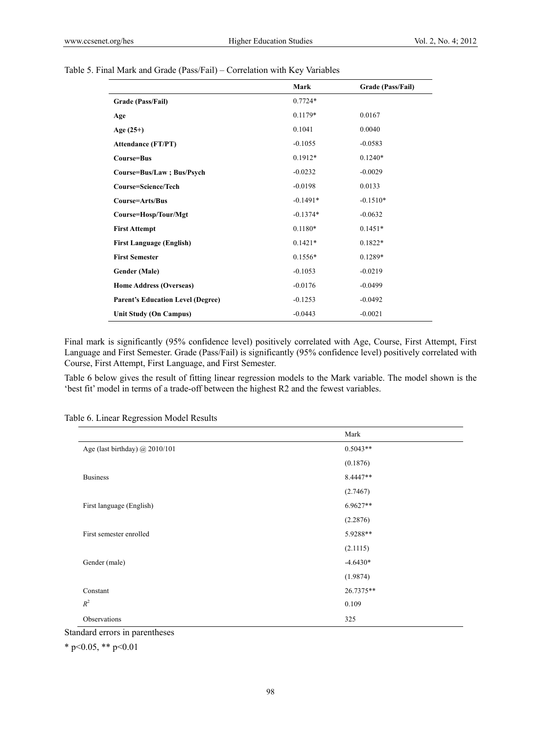| Table 5. Final Mark and Grade (Pass/Fail) – Correlation with Key Variables |  |  |
|----------------------------------------------------------------------------|--|--|
|----------------------------------------------------------------------------|--|--|

|                                          | Mark       | Grade (Pass/Fail) |
|------------------------------------------|------------|-------------------|
| Grade (Pass/Fail)                        | $0.7724*$  |                   |
| Age                                      | $0.1179*$  | 0.0167            |
| Age $(25+)$                              | 0.1041     | 0.0040            |
| <b>Attendance (FT/PT)</b>                | $-0.1055$  | $-0.0583$         |
| Course=Bus                               | $0.1912*$  | $0.1240*$         |
| Course=Bus/Law; Bus/Psych                | $-0.0232$  | $-0.0029$         |
| Course=Science/Tech                      | $-0.0198$  | 0.0133            |
| Course=Arts/Bus                          | $-0.1491*$ | $-0.1510*$        |
| Course=Hosp/Tour/Mgt                     | $-0.1374*$ | $-0.0632$         |
| <b>First Attempt</b>                     | $0.1180*$  | $0.1451*$         |
| <b>First Language (English)</b>          | $0.1421*$  | $0.1822*$         |
| <b>First Semester</b>                    | $0.1556*$  | 0.1289*           |
| <b>Gender (Male)</b>                     | $-0.1053$  | $-0.0219$         |
| <b>Home Address (Overseas)</b>           | $-0.0176$  | $-0.0499$         |
| <b>Parent's Education Level (Degree)</b> | $-0.1253$  | $-0.0492$         |
| <b>Unit Study (On Campus)</b>            | $-0.0443$  | $-0.0021$         |

Final mark is significantly (95% confidence level) positively correlated with Age, Course, First Attempt, First Language and First Semester. Grade (Pass/Fail) is significantly (95% confidence level) positively correlated with Course, First Attempt, First Language, and First Semester.

Table 6 below gives the result of fitting linear regression models to the Mark variable. The model shown is the 'best fit' model in terms of a trade-off between the highest R2 and the fewest variables.

|                                | Mark       |
|--------------------------------|------------|
| Age (last birthday) @ 2010/101 | $0.5043**$ |
|                                | (0.1876)   |
| <b>Business</b>                | 8.4447**   |
|                                | (2.7467)   |
| First language (English)       | $6.9627**$ |
|                                | (2.2876)   |
| First semester enrolled        | 5.9288**   |
|                                | (2.1115)   |
| Gender (male)                  | $-4.6430*$ |
|                                | (1.9874)   |
| Constant                       | 26.7375**  |
| $R^2$                          | 0.109      |
| Observations                   | 325        |

Table 6. Linear Regression Model Results

Standard errors in parentheses

\* p<0.05, \*\* p<0.01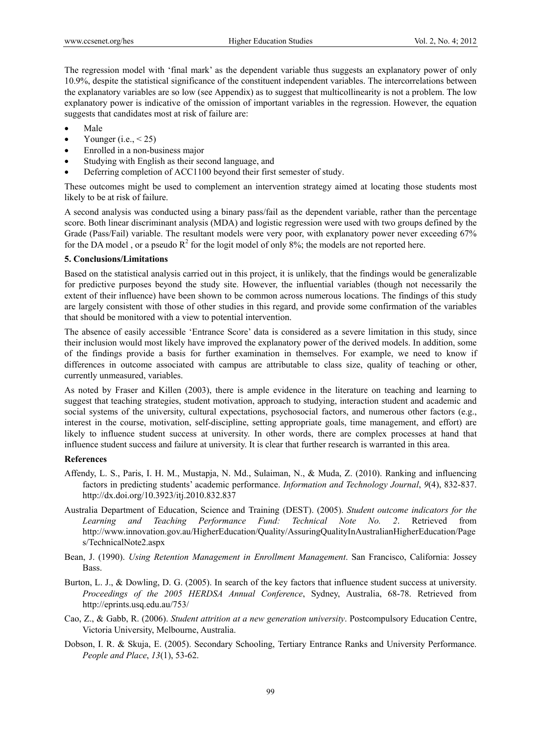The regression model with 'final mark' as the dependent variable thus suggests an explanatory power of only 10.9%, despite the statistical significance of the constituent independent variables. The intercorrelations between the explanatory variables are so low (see Appendix) as to suggest that multicollinearity is not a problem. The low explanatory power is indicative of the omission of important variables in the regression. However, the equation suggests that candidates most at risk of failure are:

- Male
- Younger (i.e.,  $\leq$  25)
- Enrolled in a non-business major
- Studying with English as their second language, and
- Deferring completion of ACC1100 beyond their first semester of study.

These outcomes might be used to complement an intervention strategy aimed at locating those students most likely to be at risk of failure.

A second analysis was conducted using a binary pass/fail as the dependent variable, rather than the percentage score. Both linear discriminant analysis (MDA) and logistic regression were used with two groups defined by the Grade (Pass/Fail) variable. The resultant models were very poor, with explanatory power never exceeding 67% for the DA model, or a pseudo  $R^2$  for the logit model of only 8%; the models are not reported here.

#### **5. Conclusions/Limitations**

Based on the statistical analysis carried out in this project, it is unlikely, that the findings would be generalizable for predictive purposes beyond the study site. However, the influential variables (though not necessarily the extent of their influence) have been shown to be common across numerous locations. The findings of this study are largely consistent with those of other studies in this regard, and provide some confirmation of the variables that should be monitored with a view to potential intervention.

The absence of easily accessible 'Entrance Score' data is considered as a severe limitation in this study, since their inclusion would most likely have improved the explanatory power of the derived models. In addition, some of the findings provide a basis for further examination in themselves. For example, we need to know if differences in outcome associated with campus are attributable to class size, quality of teaching or other, currently unmeasured, variables.

As noted by Fraser and Killen (2003), there is ample evidence in the literature on teaching and learning to suggest that teaching strategies, student motivation, approach to studying, interaction student and academic and social systems of the university, cultural expectations, psychosocial factors, and numerous other factors (e.g., interest in the course, motivation, self-discipline, setting appropriate goals, time management, and effort) are likely to influence student success at university. In other words, there are complex processes at hand that influence student success and failure at university. It is clear that further research is warranted in this area.

#### **References**

- Affendy, L. S., Paris, I. H. M., Mustapja, N. Md., Sulaiman, N., & Muda, Z. (2010). Ranking and influencing factors in predicting students' academic performance. *Information and Technology Journal*, *9*(4), 832-837. http://dx.doi.org/10.3923/itj.2010.832.837
- Australia Department of Education, Science and Training (DEST). (2005). *Student outcome indicators for the Learning and Teaching Performance Fund: Technical Note No. 2*. Retrieved from http://www.innovation.gov.au/HigherEducation/Quality/AssuringQualityInAustralianHigherEducation/Page s/TechnicalNote2.aspx
- Bean, J. (1990). *Using Retention Management in Enrollment Management*. San Francisco, California: Jossey Bass.
- Burton, L. J., & Dowling, D. G. (2005). In search of the key factors that influence student success at university. *Proceedings of the 2005 HERDSA Annual Conference*, Sydney, Australia, 68-78. Retrieved from http://eprints.usq.edu.au/753/
- Cao, Z., & Gabb, R. (2006). *Student attrition at a new generation university*. Postcompulsory Education Centre, Victoria University, Melbourne, Australia.
- Dobson, I. R. & Skuja, E. (2005). Secondary Schooling, Tertiary Entrance Ranks and University Performance. *People and Place*, *13*(1), 53-62.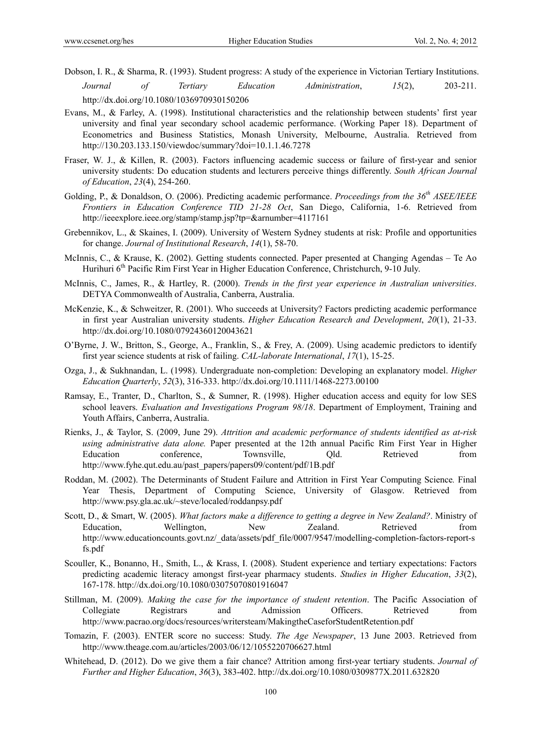Dobson, I. R., & Sharma, R. (1993). Student progress: A study of the experience in Victorian Tertiary Institutions. *Journal of Tertiary Education Administration*, *15*(2), 203-211.

http://dx.doi.org/10.1080/1036970930150206

- Evans, M., & Farley, A. (1998). Institutional characteristics and the relationship between students' first year university and final year secondary school academic performance. (Working Paper 18). Department of Econometrics and Business Statistics, Monash University, Melbourne, Australia. Retrieved from http://130.203.133.150/viewdoc/summary?doi=10.1.1.46.7278
- Fraser, W. J., & Killen, R. (2003). Factors influencing academic success or failure of first-year and senior university students: Do education students and lecturers perceive things differently. *South African Journal of Education*, *23*(4), 254-260.
- Golding, P., & Donaldson, O. (2006). Predicting academic performance. *Proceedings from the 36th ASEE/IEEE Frontiers in Education Conference TID 21-28 Oct*, San Diego, California, 1-6. Retrieved from http://ieeexplore.ieee.org/stamp/stamp.jsp?tp=&arnumber=4117161
- Grebennikov, L., & Skaines, I. (2009). University of Western Sydney students at risk: Profile and opportunities for change. *Journal of Institutional Research*, *14*(1), 58-70.
- McInnis, C., & Krause, K. (2002). Getting students connected. Paper presented at Changing Agendas Te Ao Hurihuri 6<sup>th</sup> Pacific Rim First Year in Higher Education Conference, Christchurch, 9-10 July.
- McInnis, C., James, R., & Hartley, R. (2000). *Trends in the first year experience in Australian universities*. DETYA Commonwealth of Australia, Canberra, Australia.
- McKenzie, K., & Schweitzer, R. (2001). Who succeeds at University? Factors predicting academic performance in first year Australian university students. *Higher Education Research and Development*, *20*(1), 21-33. http://dx.doi.org/10.1080/07924360120043621
- O'Byrne, J. W., Britton, S., George, A., Franklin, S., & Frey, A. (2009). Using academic predictors to identify first year science students at risk of failing. *CAL-laborate International*, *17*(1), 15-25.
- Ozga, J., & Sukhnandan, L. (1998). Undergraduate non-completion: Developing an explanatory model. *Higher Education Quarterly*, *52*(3), 316-333. http://dx.doi.org/10.1111/1468-2273.00100
- Ramsay, E., Tranter, D., Charlton, S., & Sumner, R. (1998). Higher education access and equity for low SES school leavers. *Evaluation and Investigations Program 98/18*. Department of Employment, Training and Youth Affairs, Canberra, Australia.
- Rienks, J., & Taylor, S. (2009, June 29). *Attrition and academic performance of students identified as at-risk using administrative data alone.* Paper presented at the 12th annual Pacific Rim First Year in Higher Education conference, Townsville, Qld. Retrieved from http://www.fyhe.qut.edu.au/past\_papers/papers09/content/pdf/1B.pdf
- Roddan, M. (2002). The Determinants of Student Failure and Attrition in First Year Computing Science*.* Final Year Thesis, Department of Computing Science, University of Glasgow. Retrieved from http://www.psy.gla.ac.uk/~steve/localed/roddanpsy.pdf
- Scott, D., & Smart, W. (2005). *What factors make a difference to getting a degree in New Zealand?*. Ministry of Education, Wellington, New Zealand. Retrieved from http://www.educationcounts.govt.nz/\_data/assets/pdf\_file/0007/9547/modelling-completion-factors-report-s fs.pdf
- Scouller, K., Bonanno, H., Smith, L., & Krass, I. (2008). Student experience and tertiary expectations: Factors predicting academic literacy amongst first-year pharmacy students. *Studies in Higher Education*, *33*(2), 167-178. http://dx.doi.org/10.1080/03075070801916047
- Stillman, M. (2009). *Making the case for the importance of student retention*. The Pacific Association of Collegiate Registrars and Admission Officers. Retrieved from http://www.pacrao.org/docs/resources/writersteam/MakingtheCaseforStudentRetention.pdf
- Tomazin, F. (2003). ENTER score no success: Study. *The Age Newspaper*, 13 June 2003. Retrieved from http://www.theage.com.au/articles/2003/06/12/1055220706627.html
- Whitehead, D. (2012). Do we give them a fair chance? Attrition among first-year tertiary students. *Journal of Further and Higher Education*, *36*(3), 383-402. http://dx.doi.org/10.1080/0309877X.2011.632820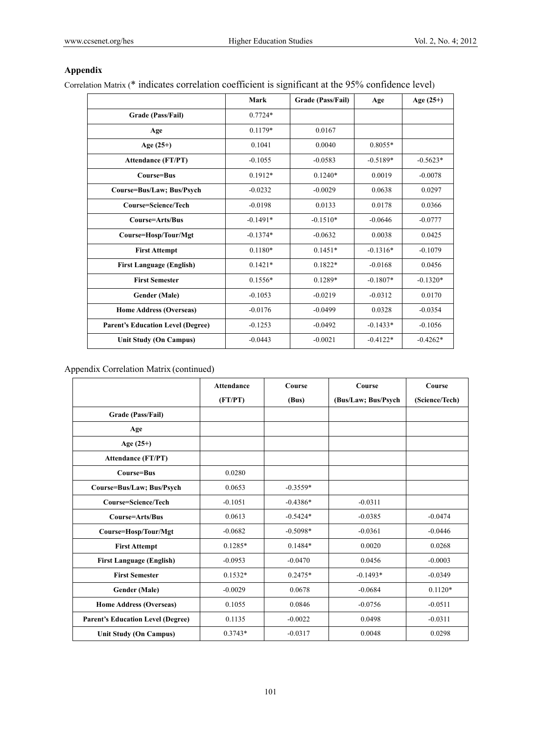## **Appendix**

Correlation Matrix (\* indicates correlation coefficient is significant at the 95% confidence level)

|                                          | Mark       | Grade (Pass/Fail) | Age        | Age $(25+)$ |
|------------------------------------------|------------|-------------------|------------|-------------|
| Grade (Pass/Fail)                        | $0.7724*$  |                   |            |             |
| Age                                      | $0.1179*$  | 0.0167            |            |             |
| Age $(25+)$                              | 0.1041     | 0.0040            | $0.8055*$  |             |
| <b>Attendance (FT/PT)</b>                | $-0.1055$  | $-0.0583$         | $-0.5189*$ | $-0.5623*$  |
| Course=Bus                               | $0.1912*$  | $0.1240*$         | 0.0019     | $-0.0078$   |
| Course=Bus/Law; Bus/Psych                | $-0.0232$  | $-0.0029$         | 0.0638     | 0.0297      |
| Course=Science/Tech                      | $-0.0198$  | 0.0133            | 0.0178     | 0.0366      |
| Course=Arts/Bus                          | $-0.1491*$ | $-0.1510*$        | $-0.0646$  | $-0.0777$   |
| Course=Hosp/Tour/Mgt                     | $-0.1374*$ | $-0.0632$         | 0.0038     | 0.0425      |
| <b>First Attempt</b>                     | $0.1180*$  | $0.1451*$         | $-0.1316*$ | $-0.1079$   |
| <b>First Language (English)</b>          | $0.1421*$  | $0.1822*$         | $-0.0168$  | 0.0456      |
| <b>First Semester</b>                    | $0.1556*$  | $0.1289*$         | $-0.1807*$ | $-0.1320*$  |
| Gender (Male)                            | $-0.1053$  | $-0.0219$         | $-0.0312$  | 0.0170      |
| <b>Home Address (Overseas)</b>           | $-0.0176$  | $-0.0499$         | 0.0328     | $-0.0354$   |
| <b>Parent's Education Level (Degree)</b> | $-0.1253$  | $-0.0492$         | $-0.1433*$ | $-0.1056$   |
| <b>Unit Study (On Campus)</b>            | $-0.0443$  | $-0.0021$         | $-0.4122*$ | $-0.4262*$  |

Appendix Correlation Matrix (continued)

|                                          | <b>Attendance</b> | Course     | Course              | Course         |
|------------------------------------------|-------------------|------------|---------------------|----------------|
|                                          | (FT/PT)           | (Bus)      | (Bus/Law; Bus/Psych | (Science/Tech) |
| Grade (Pass/Fail)                        |                   |            |                     |                |
| Age                                      |                   |            |                     |                |
| Age $(25+)$                              |                   |            |                     |                |
| <b>Attendance (FT/PT)</b>                |                   |            |                     |                |
| Course=Bus                               | 0.0280            |            |                     |                |
| Course=Bus/Law; Bus/Psych                | 0.0653            | $-0.3559*$ |                     |                |
| Course=Science/Tech                      | $-0.1051$         | $-0.4386*$ | $-0.0311$           |                |
| Course=Arts/Bus                          | 0.0613            | $-0.5424*$ | $-0.0385$           | $-0.0474$      |
| Course=Hosp/Tour/Mgt                     | $-0.0682$         | $-0.5098*$ | $-0.0361$           | $-0.0446$      |
| <b>First Attempt</b>                     | $0.1285*$         | $0.1484*$  | 0.0020              | 0.0268         |
| <b>First Language (English)</b>          | $-0.0953$         | $-0.0470$  | 0.0456              | $-0.0003$      |
| <b>First Semester</b>                    | $0.1532*$         | $0.2475*$  | $-0.1493*$          | $-0.0349$      |
| Gender (Male)                            | $-0.0029$         | 0.0678     | $-0.0684$           | $0.1120*$      |
| <b>Home Address (Overseas)</b>           | 0.1055            | 0.0846     | $-0.0756$           | $-0.0511$      |
| <b>Parent's Education Level (Degree)</b> | 0.1135            | $-0.0022$  | 0.0498              | $-0.0311$      |
| Unit Study (On Campus)                   | $0.3743*$         | $-0.0317$  | 0.0048              | 0.0298         |